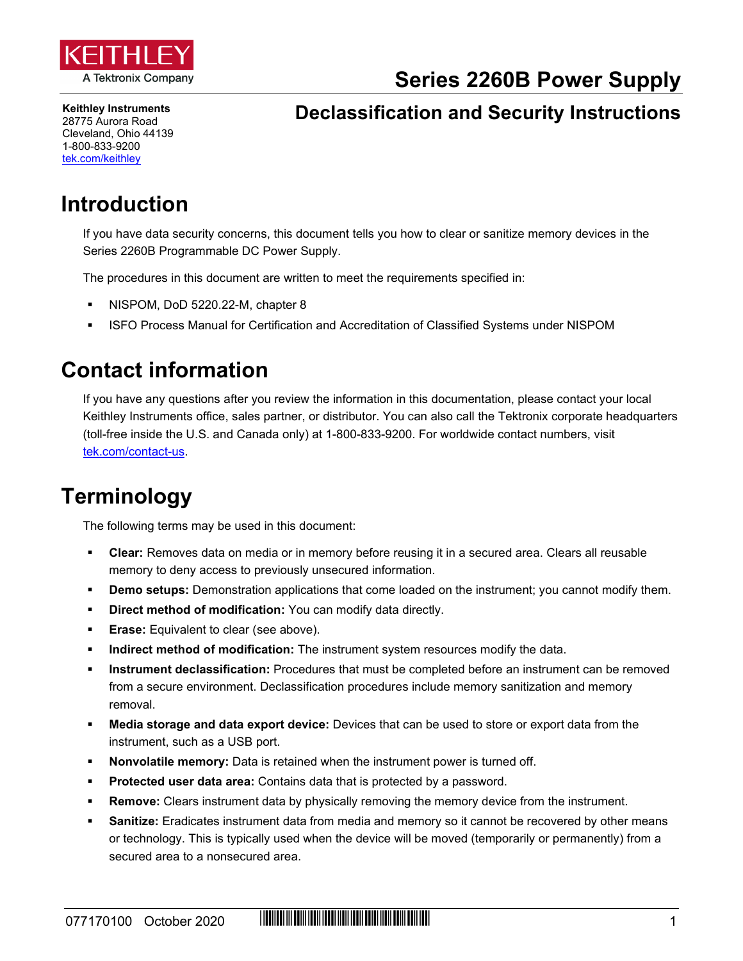

**Series 2260B Power Supply**

**Keithley Instruments** 28775 Aurora Road Cleveland, Ohio 44139 1-800-833-9200 [tek.com/keithley](https://www.tek.com/keithley)

#### **Declassification and Security Instructions**

### **Introduction**

If you have data security concerns, this document tells you how to clear or sanitize memory devices in the Series 2260B Programmable DC Power Supply.

The procedures in this document are written to meet the requirements specified in:

- NISPOM, DoD 5220.22-M, chapter 8
- ISFO Process Manual for Certification and Accreditation of Classified Systems under NISPOM

#### **Contact information**

If you have any questions after you review the information in this documentation, please contact your local Keithley Instruments office, sales partner, or distributor. You can also call the Tektronix corporate headquarters (toll-free inside the U.S. and Canada only) at 1-800-833-9200. For worldwide contact numbers, visit [tek.com/contact-us.](https://www.tek.com/contact-us)

## **Terminology**

The following terms may be used in this document:

- **Clear:** Removes data on media or in memory before reusing it in a secured area. Clears all reusable memory to deny access to previously unsecured information.
- **Demo setups:** Demonstration applications that come loaded on the instrument; you cannot modify them.
- **Direct method of modification:** You can modify data directly.
- **Erase:** Equivalent to clear (see above).
- **Indirect method of modification:** The instrument system resources modify the data.
- **Instrument declassification:** Procedures that must be completed before an instrument can be removed from a secure environment. Declassification procedures include memory sanitization and memory removal.
- **Media storage and data export device:** Devices that can be used to store or export data from the instrument, such as a USB port.
- **Nonvolatile memory:** Data is retained when the instrument power is turned off.
- **Protected user data area:** Contains data that is protected by a password.
- **Remove:** Clears instrument data by physically removing the memory device from the instrument.
- **Sanitize:** Eradicates instrument data from media and memory so it cannot be recovered by other means or technology. This is typically used when the device will be moved (temporarily or permanently) from a secured area to a nonsecured area.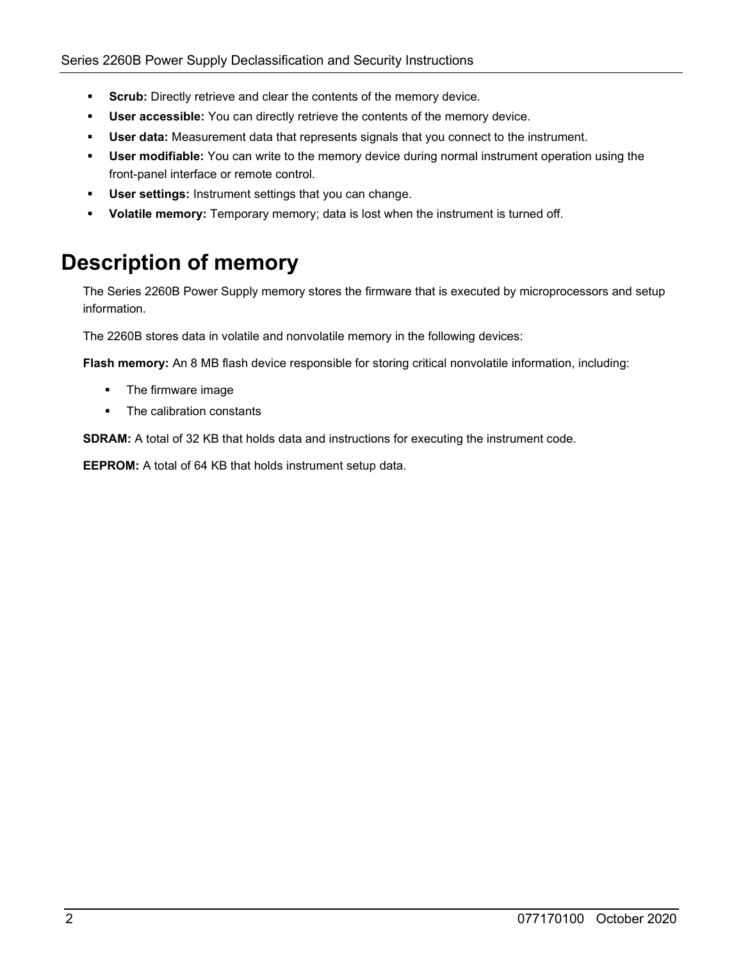- **Scrub:** Directly retrieve and clear the contents of the memory device.
- **User accessible:** You can directly retrieve the contents of the memory device.
- **User data:** Measurement data that represents signals that you connect to the instrument.
- **User modifiable:** You can write to the memory device during normal instrument operation using the front-panel interface or remote control.
- **User settings:** Instrument settings that you can change.
- **Volatile memory:** Temporary memory; data is lost when the instrument is turned off.

# **Description of memory**

The Series 2260B Power Supply memory stores the firmware that is executed by microprocessors and setup information.

The 2260B stores data in volatile and nonvolatile memory in the following devices:

**Flash memory:** An 8 MB flash device responsible for storing critical nonvolatile information, including:

- **The firmware image**
- The calibration constants

**SDRAM:** A total of 32 KB that holds data and instructions for executing the instrument code.

**EEPROM:** A total of 64 KB that holds instrument setup data.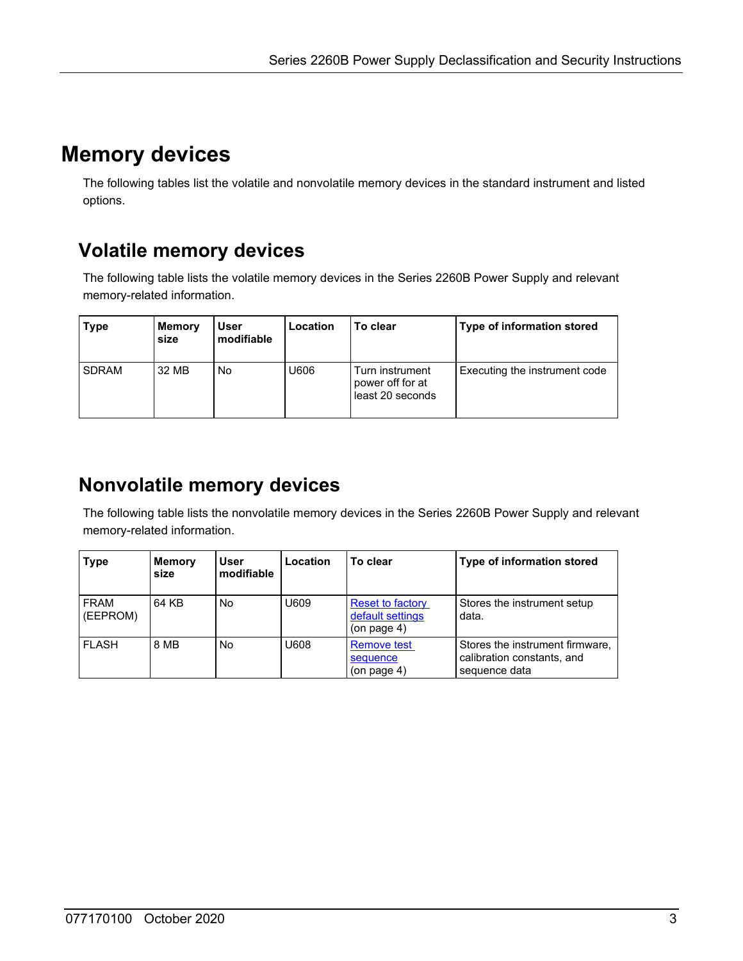# **Memory devices**

The following tables list the volatile and nonvolatile memory devices in the standard instrument and listed options.

### **Volatile memory devices**

The following table lists the volatile memory devices in the Series 2260B Power Supply and relevant memory-related information.

| <b>Type</b>  | <b>Memory</b><br>size | <b>User</b><br>modifiable | Location | To clear                                                | Type of information stored    |
|--------------|-----------------------|---------------------------|----------|---------------------------------------------------------|-------------------------------|
| <b>SDRAM</b> | 32 MB                 | No                        | U606     | Turn instrument<br>power off for at<br>least 20 seconds | Executing the instrument code |

### <span id="page-2-0"></span>**Nonvolatile memory devices**

The following table lists the nonvolatile memory devices in the Series 2260B Power Supply and relevant memory-related information.

| <b>Type</b>      | <b>Memory</b><br>size | User<br>modifiable | Location | To clear                                                         | Type of information stored                                                     |
|------------------|-----------------------|--------------------|----------|------------------------------------------------------------------|--------------------------------------------------------------------------------|
| FRAM<br>(EEPROM) | 64 KB                 | No                 | U609     | <b>Reset to factory</b><br>default settings<br>$($ on page 4 $)$ | Stores the instrument setup<br>data.                                           |
| <b>FLASH</b>     | 8 MB                  | No                 | 80aU     | <b>Remove test</b><br>sequence<br>$($ on page 4 $)$              | Stores the instrument firmware,<br>calibration constants, and<br>sequence data |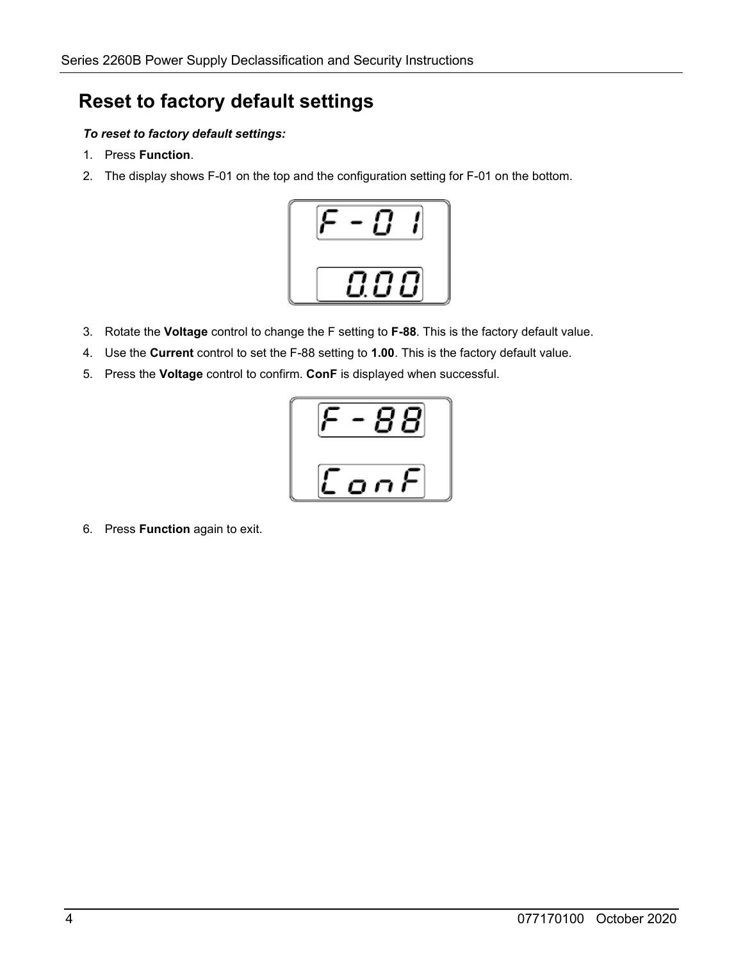#### <span id="page-3-0"></span>**Reset to factory default settings**

#### *To reset to factory default settings:*

- 1. Press **Function**.
- 2. The display shows F-01 on the top and the configuration setting for F-01 on the bottom.



- 3. Rotate the **Voltage** control to change the F setting to **F-88**. This is the factory default value.
- 4. Use the **Current** control to set the F-88 setting to **1.00**. This is the factory default value.
- 5. Press the **Voltage** control to confirm. **ConF** is displayed when successful.



<span id="page-3-1"></span>6. Press **Function** again to exit.